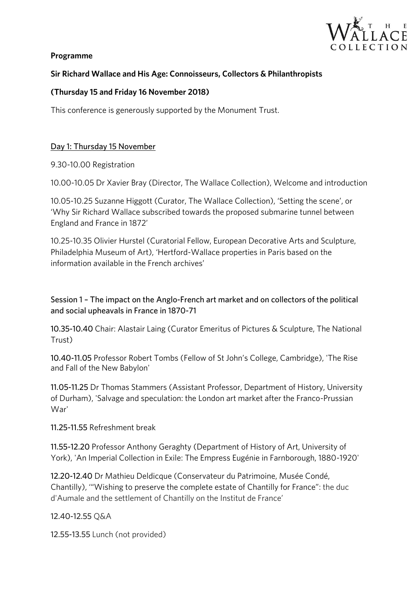

### **Programme**

# **Sir Richard Wallace and His Age: Connoisseurs, Collectors & Philanthropists**

## **(Thursday 15 and Friday 16 November 2018)**

This conference is generously supported by the Monument Trust.

# <u>Day 1: Thursday 15 November</u>

9.30-10.00 Registration

10.00-10.05 Dr Xavier Bray (Director, The Wallace Collection), Welcome and introduction

10.05-10.25 Suzanne Higgott (Curator, The Wallace Collection), 'Setting the scene', or England and France in 1872' England and France in 1872'

10.25-10.35 Olivier Hurstel (Curatorial Fellow, European Decorative Arts and Sculpture, Philadelphia Museum of Art), 'Hertford-Wallace properties in Paris based on the information available in the French archives' information available in the French archives'

Session 1 – The impact on the Anglo-French art market and on collectors of the political and on collection of the political state and political and collections of the political state and collections of the political state and social upheavals in France in 1870-71

10.35-10.40 Chair: Alastair Laing (Curator Emeritus of Pictures & Sculpture, The National Trust)

10.40-11.05 Professor Robert Tombs (Fellow of St John's College, Cambridge), 'The Rise and Fall of the New Babylon'

mee the Dividende Stammers (Assistant Professor, Department of History, Danielius,<br>of Durham), 'Salvage and speculation: the London art market after the Franco-Prussian War'

11.25-11.55 Refreshment break 11.25-11.55 Refreshment break

York), 'An Imperial Collection in Exile: The Empress Eugénie in Farnborough, 1880-1920'

12.20-12.40 Dr Mathieu Deldicque (Conservateur du Patrimoine, Musée Condé,<br>Chantilly), "'Wishing to preserve the complete estate of Chantilly for France": the duc Chantilly), '"Wishing to preserve the complete estate of Chantilly for France": the duc d'Aumale and the settlement of Chantilly on the Institut de France'

12.40-12.55 Q&A

12.55-13.55 Lunch (not provided)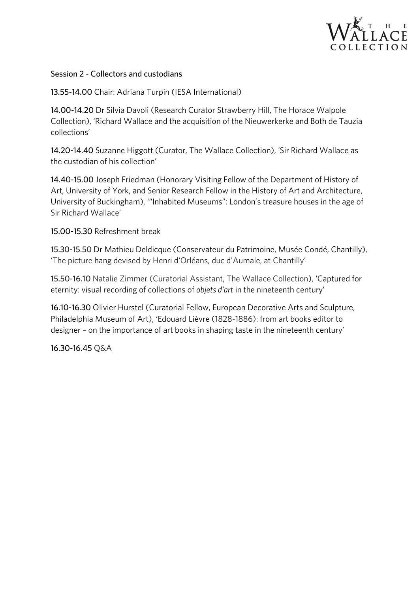

### Session 2 - Collectors and custodians

13.55-14.00 Chair: Adriana Turpin (IESA International)

14.00-14.20 Dr Silvia Davoli (Research Curator Strawberry Hill, The Horace Walpole<br>Collection), 'Richard Wallace and the acquisition of the Nieuwerkerke and Both de Tauzia Collection), 'Richard Wallace and the acquisition of the Nieuwerkerke and Both de Tauzia collections'

14.20-14.40 Suzanne Higgott (Curator, The Wallace Collection), 'Sir Richard Wallace as the custodian of his collection' the custodian of his collection'

14.40-15.00 Joseph Friedman (Honorary Visiting Fellow of the Department of History of Art, University of York, and Senior Research Fellow in the History of Art and Architecture, Art, University of York, and Senior Research Fellow in the History of Art and Architecture, University of Buckingham), '"Inhabited Museums": London's treasure houses in the age of Sir Richard Wallace'

15.00-15.30 Refreshment break 15.00-15.30 Refreshment break

The picture hang devised by Henri d'Orléans, duc d'Aumale, at Chantilly'

 $\frac{1}{2}$ . The collection of collections of objects d'art in the nineteenth century' eternity: visual recording of collections of *objets d'art* in the nineteenth century'

16.10-16.30 Olivier Hurstel (Curatorial Fellow, European Decorative Arts and Sculpture,<br>Philadelphia Museum of Art), 'Edouard Lièvre (1828-1886): from art books editor to  $\frac{1}{2}$  decisions that must be a fart books in change taste in the nineteenth century. designer – on the importance of art books in shaping taste in the nineteenth century'

16.30-16.45 Q&A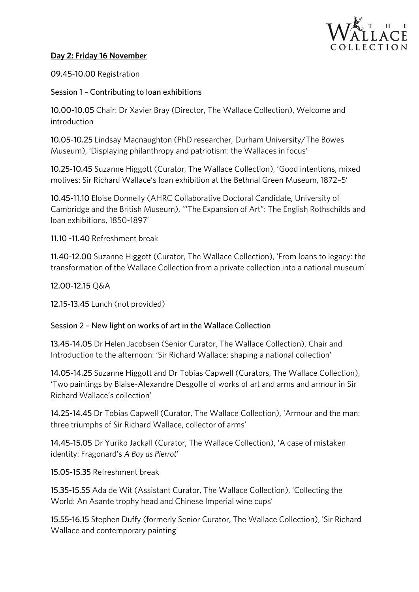

### **Day 2: Friday 16 November**

0.000 Registration

Session 1 – Contributing to loan exhibitions

10.00-10.05 Chair: Dr Xavier Bray (Director, The Wallace Collection), Welcome and introduction

10.05-10.25 Lindsay Macnaughton (PhD researcher, Durham University/The Bowes<br>Museum), 'Displaying philanthropy and patriotism: the Wallaces in focus'  $M$  and  $M$  is proping philanthropy and patriotism: the Wallaces in focus

10.15-10.45-25-25-10.15 Suzanne Higgott (Caracter, The Wallace Concerns), 'Good internations, mixed.<br>Motives: Cir Dichard Mallace's lean evhibition at the Pethnal Green Museum 1972. E' motives: Sir Richard Wallace's loan exhibition at the Bethnal Green Museum, 1872–5'

10.45-11.10 Eloise Donnelly (AHRC Collaborative Doctoral Candidate, University of<br>Cambridge and the British Museum), "The Expansion of Art": The English Rothschilds and loan exhibitions, 1850-1897' loan exhibitions, 1850-1897'

11.10 -11.40 Refreshment break

11.40-12.00 Suzanne Higgott (Curator, The Wallace Collection), 'From loans to legacy: the transformation of the Wallace Collection from a private collection into a national museum' transformation of the Wallace Collection from a private collection into a national museum'

12.00-12.15 Q&A

12.15-13.45 Lunch (not provided)

### Session 2 – New light on works of art in the Wallace Collection

13.45-14.15-24.45-14.05-14.05.45-14.05.45-14.05.45-14.05.45-14.05.45-14.05.45-14.05.<br>Introduction to the afternoon: 'Sir Pichard Wallace: chaning a national collection' Introduction to the afternoon: 'Sir Richard Wallace: shaping a national collection'

14.05-14.25 Suzanne Higgott and Dr Tobias Capwell (Curators, The Wallace Collection),<br>'Two paintings by Blaise-Alexandre Desgoffe of works of art and arms and armour in Sir Richard Wallace's collection' Richard Wallace's collection'

14.25-14.45-24.45 Dr Tobias Capwell (Curator, The Wallace Concernity, Thinks and the main:<br>three triumphs of Sir Disbord Mollece collector of orms' three triumphs of Sir Richard Wallace, collector of arms'

14.45-15.05 Dr Yuriko Jackall (Curator, The Wallace Collection), 'A case of mistaken identity: Fragonard's *A Boy as Pierrot*'

15.05-15.35 Refreshment break 15.05-15.35 Refreshment break

15.35-15.35-15.35-15.35-15.35-15.35-15.35-15.35-15.35-15.35-15.35-15.35-15.35-15.<br>Morld: An Aconta trophy bood and Chinese Imperial wipe cups' World: An Asante trophy head and Chinese Imperial wine cups'

15.55-16.15 Stephen Duffy (formerly Senior Curator, The Wallace Collection), 'Sir Richard Wallace and contemporary painting'